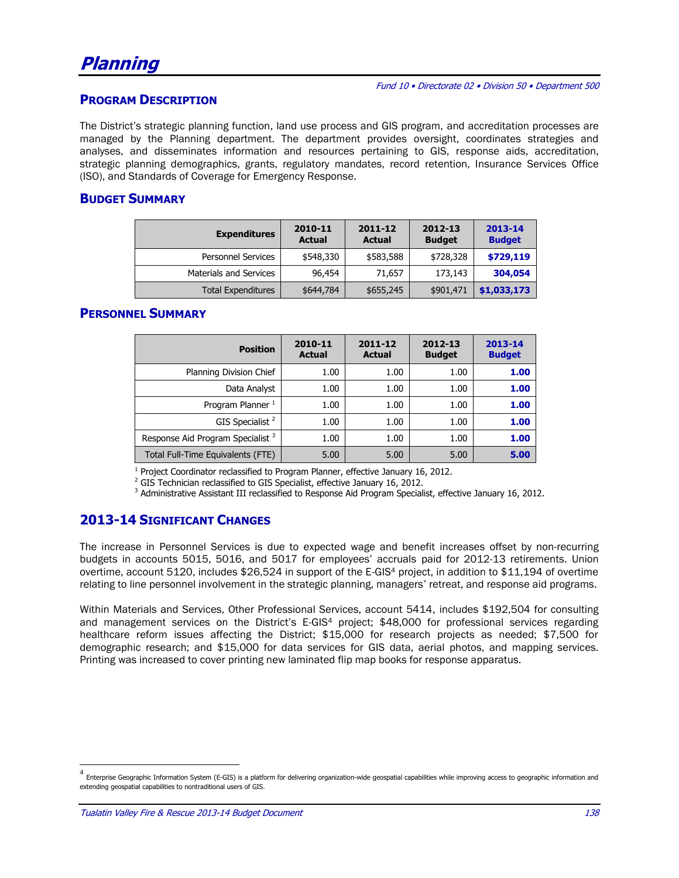#### **PROGRAM DESCRIPTION**

The District's strategic planning function, land use process and GIS program, and accreditation processes are managed by the Planning department. The department provides oversight, coordinates strategies and analyses, and disseminates information and resources pertaining to GIS, response aids, accreditation, strategic planning demographics, grants, regulatory mandates, record retention, Insurance Services Office (ISO), and Standards of Coverage for Emergency Response.

#### **BUDGET SUMMARY**

| <b>Expenditures</b>           | 2010-11<br><b>Actual</b> | 2011-12<br><b>Actual</b> | 2012-13<br><b>Budget</b> | 2013-14<br><b>Budget</b> |
|-------------------------------|--------------------------|--------------------------|--------------------------|--------------------------|
| <b>Personnel Services</b>     | \$548,330                | \$583,588                | \$728,328                | \$729,119                |
| <b>Materials and Services</b> | 96,454                   | 71,657                   | 173,143                  | 304,054                  |
| <b>Total Expenditures</b>     | \$644,784                | \$655,245                | \$901,471                | \$1,033,173              |

#### **PERSONNEL SUMMARY**

| <b>Position</b>                              | 2010-11<br><b>Actual</b> | 2011-12<br><b>Actual</b> | 2012-13<br><b>Budget</b> | 2013-14<br><b>Budget</b> |
|----------------------------------------------|--------------------------|--------------------------|--------------------------|--------------------------|
| Planning Division Chief                      | 1.00                     | 1.00                     | 1.00                     | 1.00                     |
| Data Analyst                                 | 1.00                     | 1.00                     | 1.00                     | 1.00                     |
| Program Planner <sup>1</sup>                 | 1.00                     | 1.00                     | 1.00                     | 1.00                     |
| GIS Specialist <sup>2</sup>                  | 1.00                     | 1.00                     | 1.00                     | 1.00                     |
| Response Aid Program Specialist <sup>3</sup> | 1.00                     | 1.00                     | 1.00                     | 1.00                     |
| Total Full-Time Equivalents (FTE)            | 5.00                     | 5.00                     | 5.00                     | 5.00                     |

 $1$  Project Coordinator reclassified to Program Planner, effective January 16, 2012.

<sup>2</sup> GIS Technician reclassified to GIS Specialist, effective January 16, 2012.

<sup>3</sup> Administrative Assistant III reclassified to Response Aid Program Specialist, effective January 16, 2012.

#### **2013-14 SIGNIFICANT CHANGES**

The increase in Personnel Services is due to expected wage and benefit increases offset by non-recurring budgets in accounts 5015, 5016, and 5017 for employees' accruals paid for 2012-13 retirements. Union overtime, account 5120, includes \$26,524 in support of the E-GIS<sup>4</sup> project, in addition to \$11,194 of overtime relating to line personnel involvement in the strategic planning, managers' retreat, and response aid programs.

Within Materials and Services, Other Professional Services, account 5414, includes \$192,504 for consulting and management services on the District's E-GIS<sup>4</sup> project; \$48,000 for professional services regarding healthcare reform issues affecting the District; \$15,000 for research projects as needed; \$7,500 for demographic research; and \$15,000 for data services for GIS data, aerial photos, and mapping services. Printing was increased to cover printing new laminated flip map books for response apparatus.

 $\overline{a}$ 

<sup>4</sup> Enterprise Geographic Information System (E-GIS) is a platform for delivering organization-wide geospatial capabilities while improving access to geographic information and extending geospatial capabilities to nontraditional users of GIS.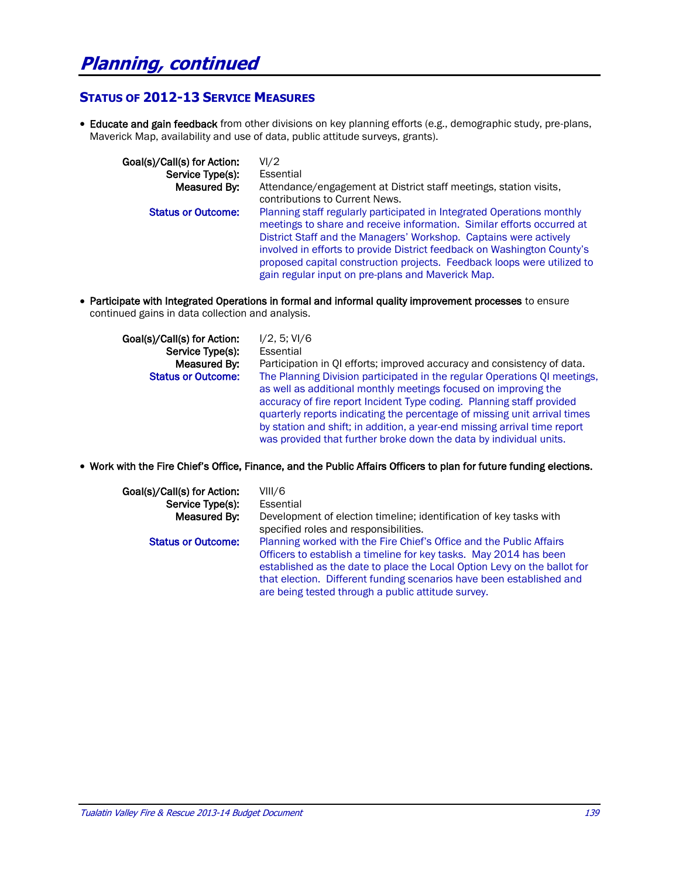#### **STATUS OF 2012-13 SERVICE MEASURES**

 Educate and gain feedback from other divisions on key planning efforts (e.g., demographic study, pre-plans, Maverick Map, availability and use of data, public attitude surveys, grants).

| Goal(s)/Call(s) for Action: | VI/2                                                                                                                                                                                                                                                                                                                                                                                                                             |
|-----------------------------|----------------------------------------------------------------------------------------------------------------------------------------------------------------------------------------------------------------------------------------------------------------------------------------------------------------------------------------------------------------------------------------------------------------------------------|
| Service Type(s):            | Essential                                                                                                                                                                                                                                                                                                                                                                                                                        |
| Measured By:                | Attendance/engagement at District staff meetings, station visits,<br>contributions to Current News.                                                                                                                                                                                                                                                                                                                              |
| <b>Status or Outcome:</b>   | Planning staff regularly participated in Integrated Operations monthly<br>meetings to share and receive information. Similar efforts occurred at<br>District Staff and the Managers' Workshop. Captains were actively<br>involved in efforts to provide District feedback on Washington County's<br>proposed capital construction projects. Feedback loops were utilized to<br>gain regular input on pre-plans and Maverick Map. |

 Participate with Integrated Operations in formal and informal quality improvement processes to ensure continued gains in data collection and analysis.

| Goal(s)/Call(s) for Action: | I/2, 5; VI/6                                                                                                                                                                                                                                                                                                                                                                                                                                          |
|-----------------------------|-------------------------------------------------------------------------------------------------------------------------------------------------------------------------------------------------------------------------------------------------------------------------------------------------------------------------------------------------------------------------------------------------------------------------------------------------------|
| Service Type(s):            | Essential                                                                                                                                                                                                                                                                                                                                                                                                                                             |
| Measured By:                | Participation in QI efforts; improved accuracy and consistency of data.                                                                                                                                                                                                                                                                                                                                                                               |
| <b>Status or Outcome:</b>   | The Planning Division participated in the regular Operations QI meetings,<br>as well as additional monthly meetings focused on improving the<br>accuracy of fire report Incident Type coding. Planning staff provided<br>quarterly reports indicating the percentage of missing unit arrival times<br>by station and shift; in addition, a year-end missing arrival time report<br>was provided that further broke down the data by individual units. |

#### Work with the Fire Chief's Office, Finance, and the Public Affairs Officers to plan for future funding elections.

| Goal(s)/Call(s) for Action:<br>Service Type(s):<br>Measured By: | VIII/6<br>Essential<br>Development of election timeline; identification of key tasks with<br>specified roles and responsibilities.                                                                                                                                                                                                                 |
|-----------------------------------------------------------------|----------------------------------------------------------------------------------------------------------------------------------------------------------------------------------------------------------------------------------------------------------------------------------------------------------------------------------------------------|
| <b>Status or Outcome:</b>                                       | Planning worked with the Fire Chief's Office and the Public Affairs<br>Officers to establish a timeline for key tasks. May 2014 has been<br>established as the date to place the Local Option Levy on the ballot for<br>that election. Different funding scenarios have been established and<br>are being tested through a public attitude survey. |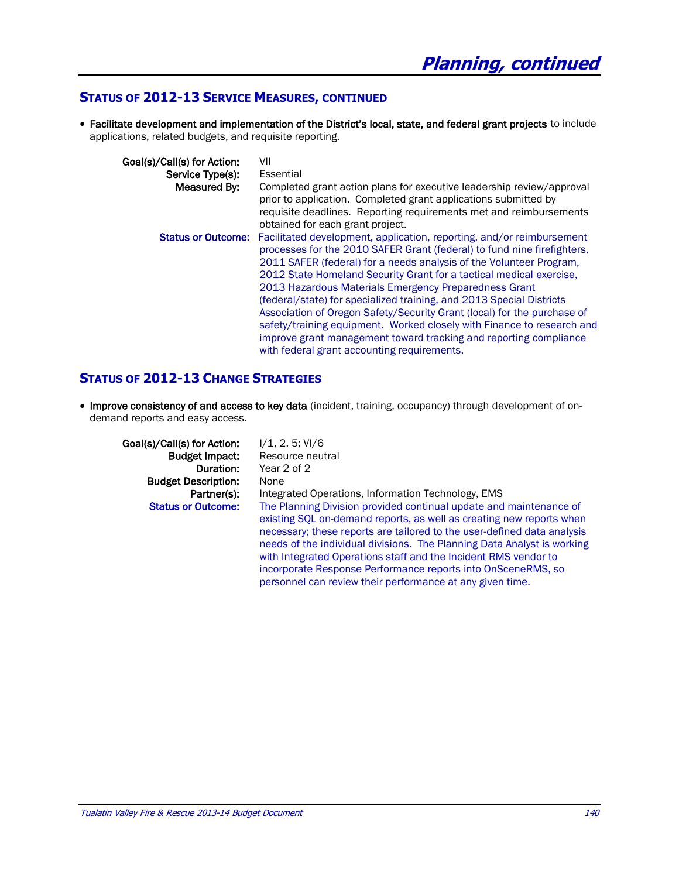#### **STATUS OF 2012-13 SERVICE MEASURES, CONTINUED**

 Facilitate development and implementation of the District's local, state, and federal grant projects to include applications, related budgets, and requisite reporting.

| Goal(s)/Call(s) for Action: | VII                                                                                                                                                                                                                                                                                                                                                                                                                                                                                                                                                                                                                                                                                                      |
|-----------------------------|----------------------------------------------------------------------------------------------------------------------------------------------------------------------------------------------------------------------------------------------------------------------------------------------------------------------------------------------------------------------------------------------------------------------------------------------------------------------------------------------------------------------------------------------------------------------------------------------------------------------------------------------------------------------------------------------------------|
| Service Type(s):            | Essential                                                                                                                                                                                                                                                                                                                                                                                                                                                                                                                                                                                                                                                                                                |
| Measured By:                | Completed grant action plans for executive leadership review/approval<br>prior to application. Completed grant applications submitted by<br>requisite deadlines. Reporting requirements met and reimbursements                                                                                                                                                                                                                                                                                                                                                                                                                                                                                           |
|                             | obtained for each grant project.                                                                                                                                                                                                                                                                                                                                                                                                                                                                                                                                                                                                                                                                         |
| <b>Status or Outcome:</b>   | Facilitated development, application, reporting, and/or reimbursement<br>processes for the 2010 SAFER Grant (federal) to fund nine firefighters,<br>2011 SAFER (federal) for a needs analysis of the Volunteer Program.<br>2012 State Homeland Security Grant for a tactical medical exercise,<br>2013 Hazardous Materials Emergency Preparedness Grant<br>(federal/state) for specialized training, and 2013 Special Districts<br>Association of Oregon Safety/Security Grant (local) for the purchase of<br>safety/training equipment. Worked closely with Finance to research and<br>improve grant management toward tracking and reporting compliance<br>with federal grant accounting requirements. |

#### **STATUS OF 2012-13 CHANGE STRATEGIES**

• Improve consistency of and access to key data (incident, training, occupancy) through development of ondemand reports and easy access.

Goal(s)/Call(s) for Action:  $1/1$ , 2, 5; VI/6 **Budget Description:** None

Budget Impact: Resource neutral Duration: Year 2 of 2 Partner(s): Integrated Operations, Information Technology, EMS **Status or Outcome:** The Planning Division provided continual update and maintenance of existing SQL on-demand reports, as well as creating new reports when necessary; these reports are tailored to the user-defined data analysis needs of the individual divisions. The Planning Data Analyst is working with Integrated Operations staff and the Incident RMS vendor to incorporate Response Performance reports into OnSceneRMS, so personnel can review their performance at any given time.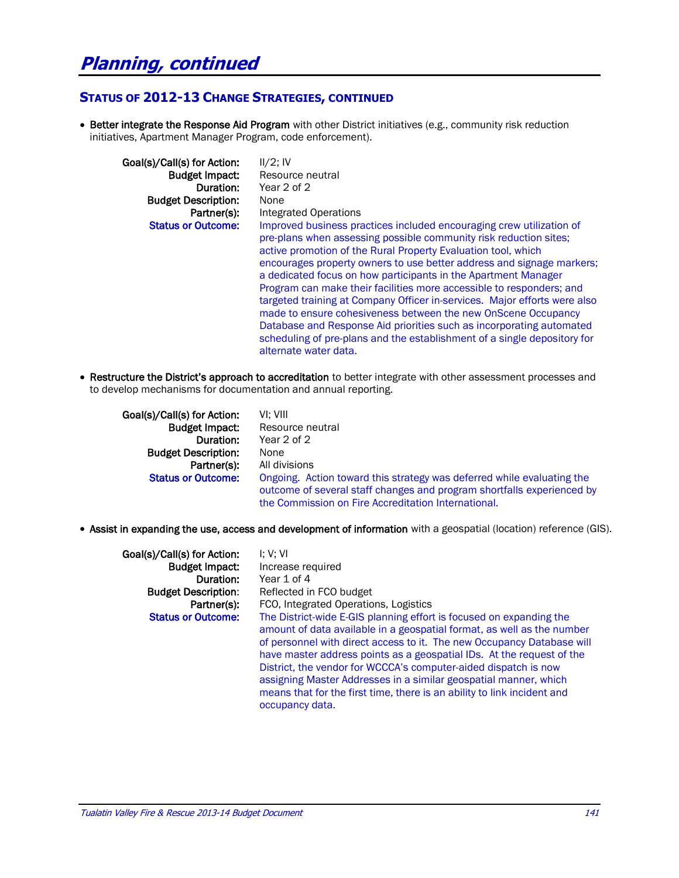#### **STATUS OF 2012-13 CHANGE STRATEGIES, CONTINUED**

• Better integrate the Response Aid Program with other District initiatives (e.g., community risk reduction initiatives, Apartment Manager Program, code enforcement).

| Goal(s)/Call(s) for Action: | $II/2$ ; IV                                                                                                                                                                                                                                                                                                                                                                                                                                                                                                                                                                                                                                                                                                                                              |
|-----------------------------|----------------------------------------------------------------------------------------------------------------------------------------------------------------------------------------------------------------------------------------------------------------------------------------------------------------------------------------------------------------------------------------------------------------------------------------------------------------------------------------------------------------------------------------------------------------------------------------------------------------------------------------------------------------------------------------------------------------------------------------------------------|
| <b>Budget Impact:</b>       | Resource neutral                                                                                                                                                                                                                                                                                                                                                                                                                                                                                                                                                                                                                                                                                                                                         |
| Duration:                   | Year 2 of 2                                                                                                                                                                                                                                                                                                                                                                                                                                                                                                                                                                                                                                                                                                                                              |
| <b>Budget Description:</b>  | None                                                                                                                                                                                                                                                                                                                                                                                                                                                                                                                                                                                                                                                                                                                                                     |
| Partner(s):                 | Integrated Operations                                                                                                                                                                                                                                                                                                                                                                                                                                                                                                                                                                                                                                                                                                                                    |
| <b>Status or Outcome:</b>   | Improved business practices included encouraging crew utilization of<br>pre-plans when assessing possible community risk reduction sites;<br>active promotion of the Rural Property Evaluation tool, which<br>encourages property owners to use better address and signage markers;<br>a dedicated focus on how participants in the Apartment Manager<br>Program can make their facilities more accessible to responders; and<br>targeted training at Company Officer in-services. Major efforts were also<br>made to ensure cohesiveness between the new OnScene Occupancy<br>Database and Response Aid priorities such as incorporating automated<br>scheduling of pre-plans and the establishment of a single depository for<br>alternate water data. |

• Restructure the District's approach to accreditation to better integrate with other assessment processes and to develop mechanisms for documentation and annual reporting.

| Goal(s)/Call(s) for Action: | VI: VIII                                                                                                                                                                                                |
|-----------------------------|---------------------------------------------------------------------------------------------------------------------------------------------------------------------------------------------------------|
| <b>Budget Impact:</b>       | Resource neutral                                                                                                                                                                                        |
| Duration:                   | Year 2 of 2                                                                                                                                                                                             |
| <b>Budget Description:</b>  | None                                                                                                                                                                                                    |
| Partner(s):                 | All divisions                                                                                                                                                                                           |
| <b>Status or Outcome:</b>   | Ongoing. Action toward this strategy was deferred while evaluating the<br>outcome of several staff changes and program shortfalls experienced by<br>the Commission on Fire Accreditation International. |

Assist in expanding the use, access and development of information with a geospatial (location) reference (GIS).

| Goal(s)/Call(s) for Action:<br><b>Budget Impact:</b> | 1: V: VI<br>Increase required                                                                                                                                                                                                                                                                                                                                                                                                                                                                                                         |
|------------------------------------------------------|---------------------------------------------------------------------------------------------------------------------------------------------------------------------------------------------------------------------------------------------------------------------------------------------------------------------------------------------------------------------------------------------------------------------------------------------------------------------------------------------------------------------------------------|
| Duration:                                            | Year 1 of 4                                                                                                                                                                                                                                                                                                                                                                                                                                                                                                                           |
| <b>Budget Description:</b>                           | Reflected in FCO budget                                                                                                                                                                                                                                                                                                                                                                                                                                                                                                               |
| Partner(s):                                          | FCO, Integrated Operations, Logistics                                                                                                                                                                                                                                                                                                                                                                                                                                                                                                 |
| <b>Status or Outcome:</b>                            | The District-wide E-GIS planning effort is focused on expanding the<br>amount of data available in a geospatial format, as well as the number<br>of personnel with direct access to it. The new Occupancy Database will<br>have master address points as a geospatial IDs. At the request of the<br>District, the vendor for WCCCA's computer-aided dispatch is now<br>assigning Master Addresses in a similar geospatial manner, which<br>means that for the first time, there is an ability to link incident and<br>occupancy data. |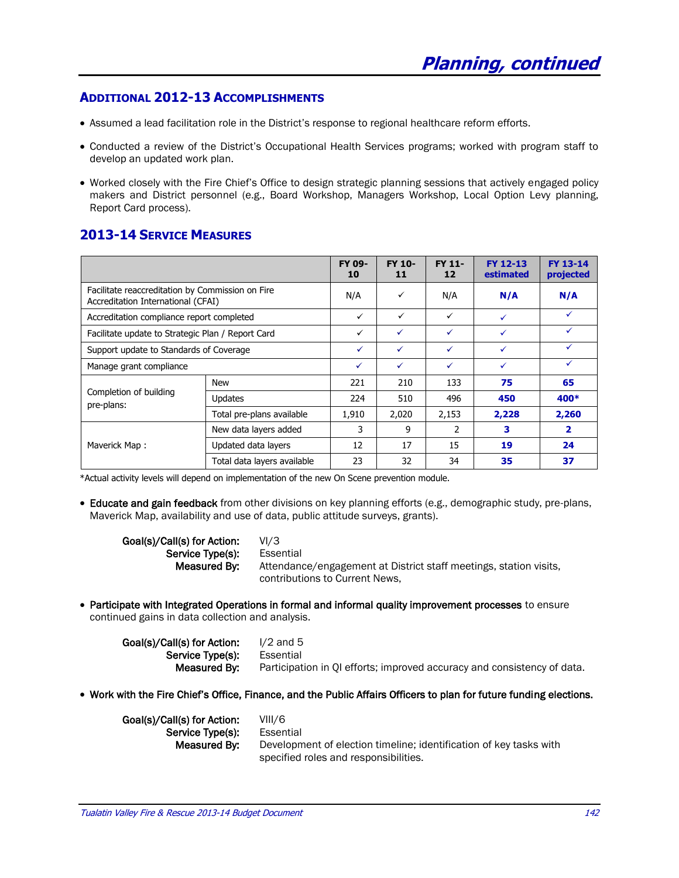#### **ADDITIONAL 2012-13 ACCOMPLISHMENTS**

- Assumed a lead facilitation role in the District's response to regional healthcare reform efforts.
- Conducted a review of the District's Occupational Health Services programs; worked with program staff to develop an updated work plan.
- Worked closely with the Fire Chief's Office to design strategic planning sessions that actively engaged policy makers and District personnel (e.g., Board Workshop, Managers Workshop, Local Option Levy planning, Report Card process).

#### **2013-14 SERVICE MEASURES**

|                                                                                        |                             | FY 09-<br>10 | FY 10-<br>11 | <b>FY 11-</b><br>12 | FY 12-13<br>estimated | FY 13-14<br>projected   |
|----------------------------------------------------------------------------------------|-----------------------------|--------------|--------------|---------------------|-----------------------|-------------------------|
| Facilitate reaccreditation by Commission on Fire<br>Accreditation International (CFAI) |                             | N/A          | ✓            | N/A                 | N/A                   | N/A                     |
| Accreditation compliance report completed                                              |                             | $\checkmark$ | ✓            | $\checkmark$        | $\checkmark$          | $\checkmark$            |
| Facilitate update to Strategic Plan / Report Card                                      |                             | ✓            | ✓            | ✓                   |                       | ✓                       |
| Support update to Standards of Coverage                                                |                             | ✓            | $\checkmark$ | ✓                   | $\checkmark$          | ✓                       |
| Manage grant compliance                                                                |                             | ✓            | ✓            | ✓                   | $\checkmark$          | $\checkmark$            |
|                                                                                        | <b>New</b>                  | 221          | 210          | 133                 | 75                    | 65                      |
| Completion of building<br>pre-plans:                                                   | <b>Updates</b>              | 224          | 510          | 496                 | 450                   | 400*                    |
|                                                                                        | Total pre-plans available   | 1,910        | 2,020        | 2,153               | 2,228                 | 2,260                   |
|                                                                                        | New data layers added       | 3            | 9            | 2                   | 3                     | $\overline{\mathbf{2}}$ |
| Maverick Map:                                                                          | Updated data layers         | 12           | 17           | 15                  | 19                    | 24                      |
|                                                                                        | Total data layers available | 23           | 32           | 34                  | 35                    | 37                      |

\*Actual activity levels will depend on implementation of the new On Scene prevention module.

 Educate and gain feedback from other divisions on key planning efforts (e.g., demographic study, pre-plans, Maverick Map, availability and use of data, public attitude surveys, grants).

| Goal(s)/Call(s) for Action: | VI/3                                                              |
|-----------------------------|-------------------------------------------------------------------|
| Service Type(s):            | Essential                                                         |
| Measured By:                | Attendance/engagement at District staff meetings, station visits, |
|                             | contributions to Current News.                                    |

 Participate with Integrated Operations in formal and informal quality improvement processes to ensure continued gains in data collection and analysis.

| Goal(s)/Call(s) for Action: | $1/2$ and 5                                                             |
|-----------------------------|-------------------------------------------------------------------------|
| Service Type(s):            | Essential                                                               |
| Measured By:                | Participation in QI efforts; improved accuracy and consistency of data. |

Work with the Fire Chief's Office, Finance, and the Public Affairs Officers to plan for future funding elections.

| Goal(s)/Call(s) for Action: | VIII/6                                                             |
|-----------------------------|--------------------------------------------------------------------|
| Service Type(s):            | Essential                                                          |
| Measured By:                | Development of election timeline; identification of key tasks with |
|                             | specified roles and responsibilities.                              |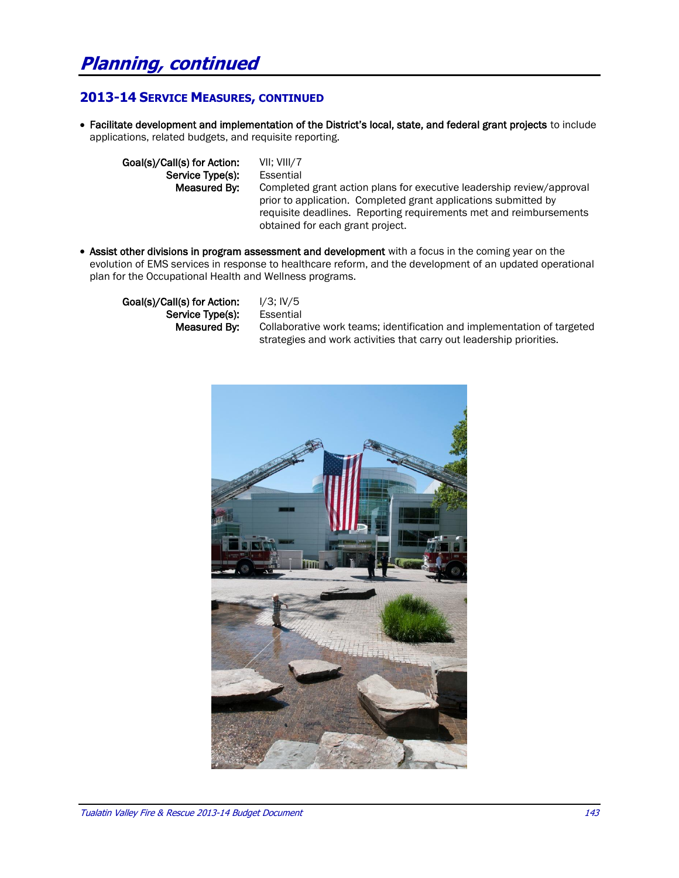## **Planning, continued**

#### **2013-14 SERVICE MEASURES, CONTINUED**

 Facilitate development and implementation of the District's local, state, and federal grant projects to include applications, related budgets, and requisite reporting.

Goal(s)/Call(s) for Action: VII; VIII/7 Service Type(s): Essential

Measured By: Completed grant action plans for executive leadership review/approval prior to application. Completed grant applications submitted by requisite deadlines. Reporting requirements met and reimbursements obtained for each grant project.

• Assist other divisions in program assessment and development with a focus in the coming year on the evolution of EMS services in response to healthcare reform, and the development of an updated operational plan for the Occupational Health and Wellness programs.

Goal(s)/Call(s) for Action:  $1/3$ ;  $1\sqrt{5}$ Service Type(s): Essential

 Measured By: Collaborative work teams; identification and implementation of targeted strategies and work activities that carry out leadership priorities.

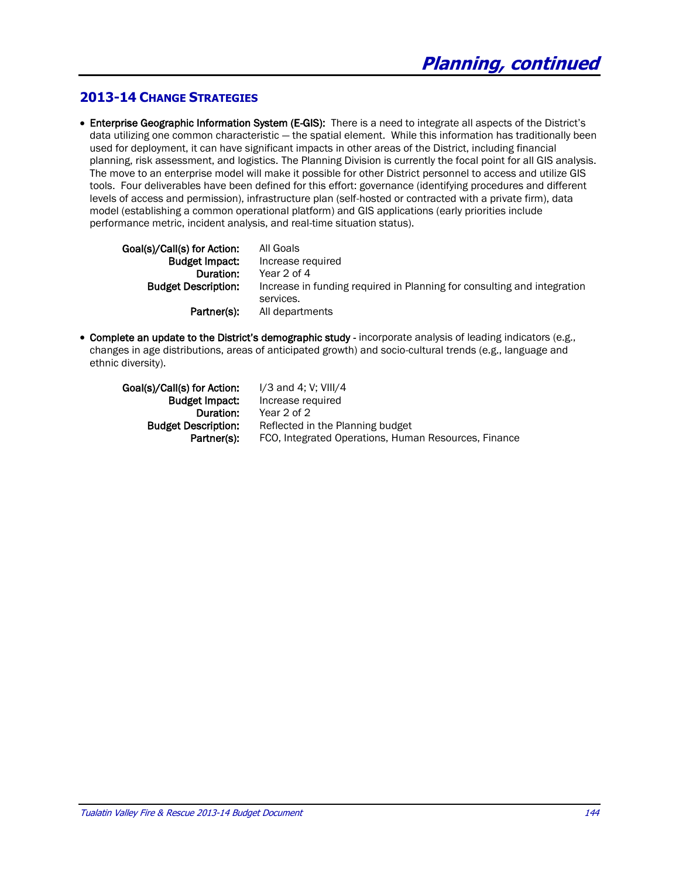### **2013-14 CHANGE STRATEGIES**

 Enterprise Geographic Information System (E-GIS): There is a need to integrate all aspects of the District's data utilizing one common characteristic - the spatial element. While this information has traditionally been used for deployment, it can have significant impacts in other areas of the District, including financial planning, risk assessment, and logistics. The Planning Division is currently the focal point for all GIS analysis. The move to an enterprise model will make it possible for other District personnel to access and utilize GIS tools. Four deliverables have been defined for this effort: governance (identifying procedures and different levels of access and permission), infrastructure plan (self-hosted or contracted with a private firm), data model (establishing a common operational platform) and GIS applications (early priorities include performance metric, incident analysis, and real-time situation status).

| Goal(s)/Call(s) for Action: | All Goals                                                               |
|-----------------------------|-------------------------------------------------------------------------|
| <b>Budget Impact:</b>       | Increase required                                                       |
| Duration:                   | Year 2 of 4                                                             |
| <b>Budget Description:</b>  | Increase in funding required in Planning for consulting and integration |
|                             | services.                                                               |
| Partner(s):                 | All departments                                                         |

 Complete an update to the District's demographic study - incorporate analysis of leading indicators (e.g., changes in age distributions, areas of anticipated growth) and socio-cultural trends (e.g., language and ethnic diversity).

| Goal(s)/Call(s) for Action: | $I/3$ and 4; V; VIII/4                               |
|-----------------------------|------------------------------------------------------|
| <b>Budget Impact:</b>       | Increase required                                    |
| Duration:                   | Year 2 of 2                                          |
| <b>Budget Description:</b>  | Reflected in the Planning budget                     |
| Partner(s):                 | FCO, Integrated Operations, Human Resources, Finance |
|                             |                                                      |